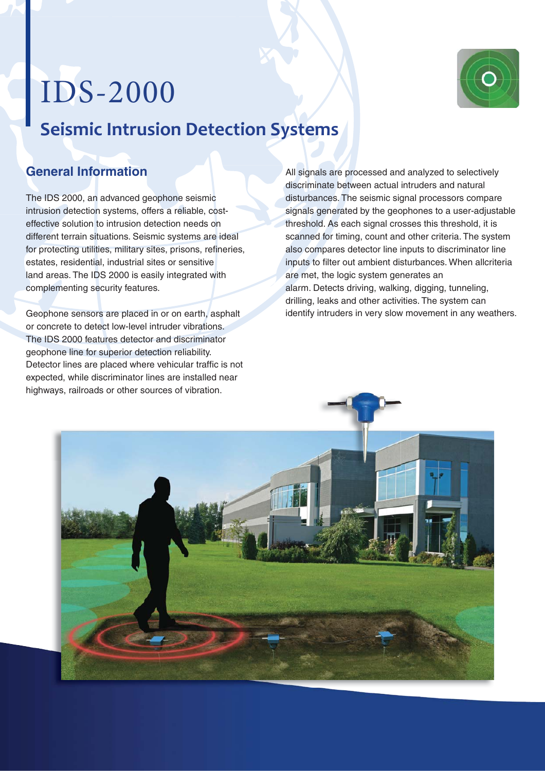## IDS-2000 **Seismic Intrusion Detection Systems**



## **General Information**

The IDS 2000, an advanced geophone seismic intrusion detection systems, offers a reliable, costeffective solution to intrusion detection needs on different terrain situations. Seismic systems are ideal for protecting utilities, military sites, prisons, refineries, estates, residential, industrial sites or sensitive land areas. The IDS 2000 is easily integrated with complementing security features.

Geophone sensors are placed in or on earth, asphalt or concrete to detect low-level intruder vibrations. The IDS 2000 features detector and discriminator geophone line for superior detection reliability. Detector lines are placed where vehicular traffic is not expected, while discriminator lines are installed near highways, railroads or other sources of vibration.

All signals are processed and analyzed to selectively discriminate between actual intruders and natural disturbances. The seismic signal processors compare signals generated by the geophones to a user-adjustable threshold. As each signal crosses this threshold, it is scanned for timing, count and other criteria. The system also compares detector line inputs to discriminator line inputs to filter out ambient disturbances. When allcriteria are met, the logic system generates an alarm. Detects driving, walking, digging, tunneling, drilling, leaks and other activities. The system can identify intruders in very slow movement in any weathers.

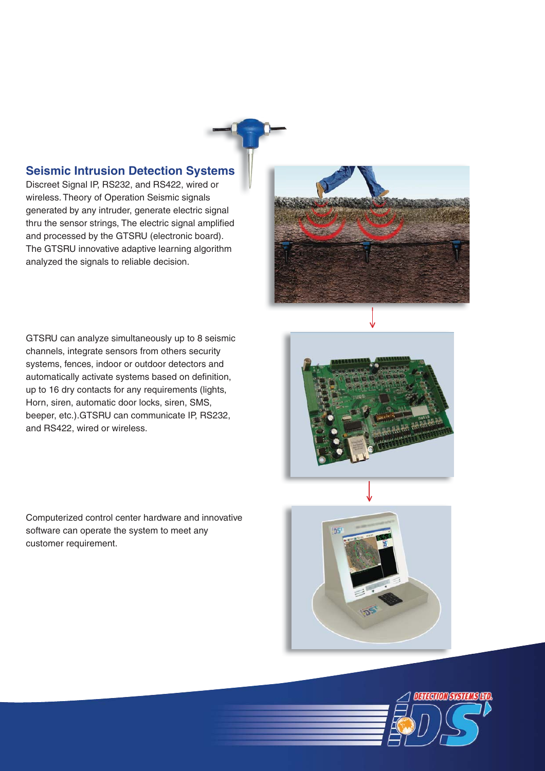

Discreet Signal IP, RS232, and RS422, wired or Discreet Signal IP, RS232, and RS422, wired o<br>wireless. Theory of Operation Seismic signals generated by any intruder, generate electric signal thru the sensor strings, The electric signal amplified and processed by the GTSRU (electronic board). The GTSRU innovative adaptive learning algorithm analyzed the signals to reliable decision.



GTSRU can analyze simultaneously up to 8 seismic channels, integrate sensors from others security systems, fences, indoor or outdoor detectors and automatically activate systems based on definition, up to 16 dry contacts for any requirements (lights, Horn, siren, automatic door locks, siren, SMS, beeper, etc.).GTSRU can communicate IP, RS232, and RS422, wired or wireless.

Computerized control center hardware and innovative software can operate the system to meet any customer requirement.





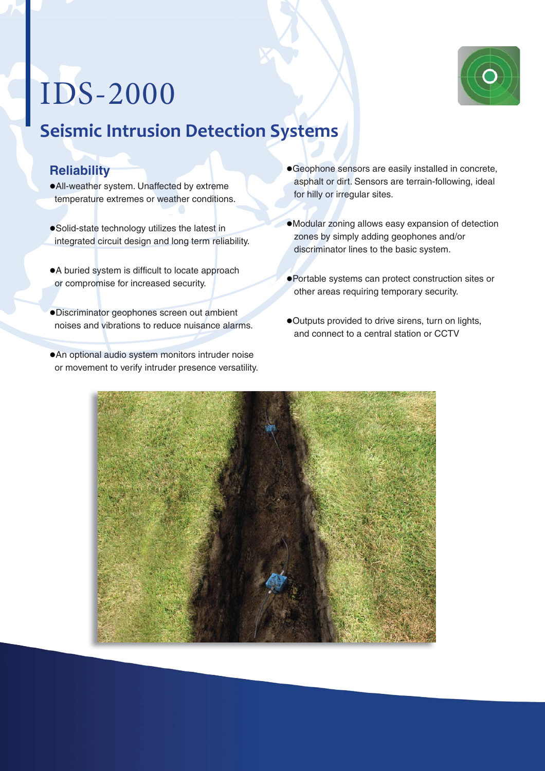## IDS-2000



## **Reliability**

- All-weather system. Unaffected by extreme temperature extremes or weather conditions.
- Solid-state technology utilizes the latest in integrated circuit design and long term reliability.
- A buried system is difficult to locate approach or compromise for increased security.
- Discriminator geophones screen out ambient noises and vibrations to reduce nuisance alarms.
- An optional audio system monitors intruder noise or movement to verify intruder presence versatility.
- Geophone sensors are easily installed in concrete, asphalt or dirt. Sensors are terrain-following, ideal for hilly or irregular sites.
- Modular zoning allows easy expansion of detection zones by simply adding geophones and/or discriminator lines to the basic system.
- Portable systems can protect construction sites or other areas requiring temporary security.
- Outputs provided to drive sirens, turn on lights, and connect to a central station or CCTV